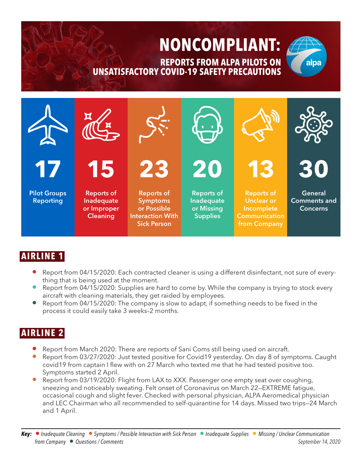### REPORTS FROM ALPA PILOTS ON UNSATISFACTORY COVID-19 SAFETY PRECAUTIONS **NONCOMPLIANT:**

alpa

#### **REPORTS FROM ALPA PILOTS ON UNSATISFACTORY COVID-19 SAFETY PRECAUTIONS**



# **AIRLINE 1**

- Report from 04/15/2020: Each contracted cleaner is using a different disinfectant, not sure of everything that is being used at the moment.
- Report from 04/15/2020: Supplies are hard to come by. While the company is trying to stock every aircraft with cleaning materials, they get raided by employees.
- Report from 04/15/2020: The company is slow to adapt, if something needs to be fixed in the process it could easily take 3 weeks–2 months.

- Report from March 2020: There are reports of Sani Coms still being used on aircraft.
- Report from 03/27/2020: Just tested positive for Covid19 yesterday. On day 8 of symptoms. Caught covid19 from captain I flew with on 27 March who texted me that he had tested positive too. Symptoms started 2 April.
- Report from 03/19/2020: Flight from LAX to XXX. Passenger one empty seat over coughing, sneezing and noticeably sweating. Felt onset of Coronavirus on March 22—EXTREME fatigue, occasional cough and slight fever. Checked with personal physician, ALPA Aeromedical physician and LEC Chairman who all recommended to self-quarantine for 14 days. Missed two trips—24 March and 1 April.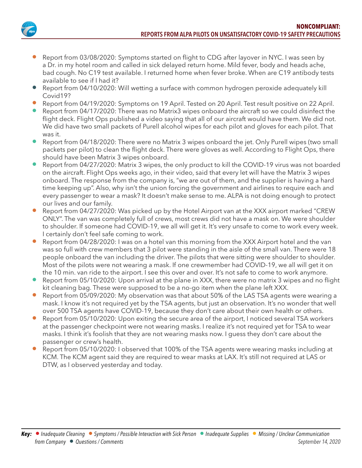

- Report from 03/08/2020: Symptoms started on flight to CDG after layover in NYC. I was seen by a Dr. in my hotel room and called in sick delayed return home. Mild fever, body and heads ache, bad cough. No C19 test available. I returned home when fever broke. When are C19 antibody tests available to see if I had it?
- Report from 04/10/2020: Will wetting a surface with common hydrogen peroxide adequately kill Covid19?
- Report from 04/19/2020: Symptoms on 19 April. Tested on 20 April. Test result positive on 22 April.
- Report from 04/17/2020: There was no Matrix3 wipes onboard the aircraft so we could disinfect the flight deck. Flight Ops published a video saying that all of our aircraft would have them. We did not. We did have two small packets of Purell alcohol wipes for each pilot and gloves for each pilot. That was it.
- Report from 04/18/2020: There were no Matrix 3 wipes onboard the jet. Only Purell wipes (two small packets per pilot) to clean the flight deck. There were gloves as well. According to Flight Ops, there should have been Matrix 3 wipes onboard.
- Report from 04/27/2020: Matrix 3 wipes, the only product to kill the COVID-19 virus was not boarded on the aircraft. Flight Ops weeks ago, in their video, said that every let will have the Matrix 3 wipes onboard. The response from the company is, "we are out of them, and the supplier is having a hard time keeping up". Also, why isn't the union forcing the government and airlines to require each and every passenger to wear a mask? It doesn't make sense to me. ALPA is not doing enough to protect our lives and our family.
- Report from 04/27/2020: Was picked up by the Hotel Airport van at the XXX airport marked "CREW ONLY". The van was completely full of crews, most crews did not have a mask on. We were shoulder to shoulder. If someone had COVID-19, we all will get it. It's very unsafe to come to work every week. I certainly don't feel safe coming to work.
- Report from 04/28/2020: I was on a hotel van this morning from the XXX Airport hotel and the van was so full with crew members that 3 pilot were standing in the aisle of the small van. There were 18 people onboard the van including the driver. The pilots that were sitting were shoulder to shoulder. Most of the pilots were not wearing a mask. If one crewmember had COVID-19, we all will get it on the 10 min. van ride to the airport. I see this over and over. It's not safe to come to work anymore.
- Report from 05/10/2020: Upon arrival at the plane in XXX, there were no matrix 3 wipes and no flight kit cleaning bag. These were supposed to be a no-go item when the plane left XXX.
- Report from 05/09/2020: My observation was that about 50% of the LAS TSA agents were wearing a mask. I know it's not required yet by the TSA agents, but just an observation. It's no wonder that well over 500 TSA agents have COVID-19, because they don't care about their own health or others.
- Report from 05/10/2020: Upon exiting the secure area of the airport, I noticed several TSA workers at the passenger checkpoint were not wearing masks. I realize it's not required yet for TSA to wear masks. I think it's foolish that they are not wearing masks now. I guess they don't care about the passenger or crew's health.
- Report from 05/10/2020: I observed that 100% of the TSA agents were wearing masks including at KCM. The KCM agent said they are required to wear masks at LAX. It's still not required at LAS or DTW, as I observed yesterday and today.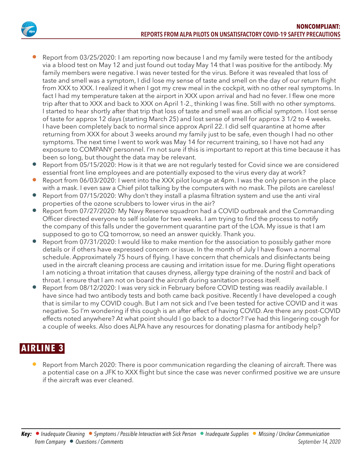

- Report from 03/25/2020: I am reporting now because I and my family were tested for the antibody via a blood test on May 12 and just found out today May 14 that I was positive for the antibody. My family members were negative. I was never tested for the virus. Before it was revealed that loss of taste and smell was a symptom, I did lose my sense of taste and smell on the day of our return flight from XXX to XXX. I realized it when I got my crew meal in the cockpit, with no other real symptoms. In fact I had my temperature taken at the airport in XXX upon arrival and had no fever. I flew one more trip after that to XXX and back to XXX on April 1-2., thinking I was fine. Still with no other symptoms. I started to hear shortly after that trip that loss of taste and smell was an official symptom. I lost sense of taste for approx 12 days (starting March 25) and lost sense of smell for approx 3 1/2 to 4 weeks. I have been completely back to normal since approx April 22. I did self quarantine at home after returning from XXX for about 3 weeks around my family just to be safe, even though I had no other symptoms. The next time I went to work was May 14 for recurrent training, so I have not had any exposure to COMPANY personnel. I'm not sure if this is important to report at this time because it has been so long, but thought the data may be relevant.
- Report from 05/15/2020: How is it that we are not regularly tested for Covid since we are considered essential front line employees and are potentially exposed to the virus every day at work?
- Report from 06/03/2020: I went into the XXX pilot lounge at 4pm. I was the only person in the place with a mask. I even saw a Chief pilot talking by the computers with no mask. The pilots are careless!
- Report from 07/15/2020: Why don't they install a plasma filtration system and use the anti viral properties of the ozone scrubbers to lower virus in the air?
- Report from 07/27/2020: My Navy Reserve squadron had a COVID outbreak and the Commanding Officer directed everyone to self isolate for two weeks. I am trying to find the process to notify the company of this falls under the government quarantine part of the LOA. My issue is that I am supposed to go to CQ tomorrow, so need an answer quickly. Thank you.
- Report from 07/31/2020: I would like to make mention for the association to possibly gather more details or if others have expressed concern or issue. In the month of July I have flown a normal schedule. Approximately 75 hours of flying. I have concern that chemicals and disinfectants being used in the aircraft cleaning process are causing and irritation issue for me. During flight operations I am noticing a throat irritation that causes dryness, allergy type draining of the nostril and back of throat. I ensure that I am not on board the aircraft during sanitation process itself.
- Report from 08/12/2020: I was very sick in February before COVID testing was readily available. I have since had two antibody tests and both came back positive. Recently I have developed a cough that is similar to my COVID cough. But I am not sick and I've been tested for active COVID and it was negative. So I'm wondering if this cough is an after effect of having COVID. Are there any post-COVID effects noted anywhere? At what point should I go back to a doctor? I've had this lingering cough for a couple of weeks. Also does ALPA have any resources for donating plasma for antibody help?

• Report from March 2020: There is poor communication regarding the cleaning of aircraft. There was a potential case on a JFK to XXX flight but since the case was never confirmed positive we are unsure if the aircraft was ever cleaned.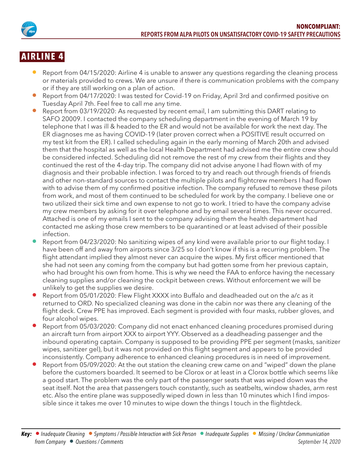

- Report from 04/15/2020: Airline 4 is unable to answer any questions regarding the cleaning process or materials provided to crews. We are unsure if there is communication problems with the company or if they are still working on a plan of action.
- Report from 04/17/2020: I was tested for Covid-19 on Friday, April 3rd and confirmed positive on Tuesday April 7th. Feel free to call me any time.
- Report from 03/19/2020: As requested by recent email, I am submitting this DART relating to SAFO 20009. I contacted the company scheduling department in the evening of March 19 by telephone that I was ill & headed to the ER and would not be available for work the next day. The ER diagnoses me as having COVID-19 (later proven correct when a POSITIVE result occurred on my test kit from the ER). I called scheduling again in the early morning of March 20th and advised them that the hospital as well as the local Health Department had advised me the entire crew should be considered infected. Scheduling did not remove the rest of my crew from their flights and they continued the rest of the 4-day trip. The company did not advise anyone I had flown with of my diagnosis and their probable infection. I was forced to try and reach out through friends of friends and other non-standard sources to contact the multiple pilots and flightcrew members I had flown with to advise them of my confirmed positive infection. The company refused to remove these pilots from work, and most of them continued to be scheduled for work by the company. I believe one or two utilized their sick time and own expense to not go to work. I tried to have the company advise my crew members by asking for it over telephone and by email several times. This never occurred. Attached is one of my emails I sent to the company advising them the health department had contacted me asking those crew members to be quarantined or at least advised of their possible infection.
- Report from 04/23/2020: No sanitizing wipes of any kind were available prior to our flight today. I have been off and away from airports since 3/25 so I don't know if this is a recurring problem. The flight attendant implied they almost never can acquire the wipes. My first officer mentioned that she had not seen any coming from the company but had gotten some from her previous captain, who had brought his own from home. This is why we need the FAA to enforce having the necessary cleaning supplies and/or cleaning the cockpit between crews. Without enforcement we will be unlikely to get the supplies we desire.
- Report from 05/01/2020: Flew Flight XXXX into Buffalo and deadheaded out on the a/c as it returned to ORD. No specialized cleaning was done in the cabin nor was there any cleaning of the flight deck. Crew PPE has improved. Each segment is provided with four masks, rubber gloves, and four alcohol wipes.
- Report from 05/03/2020: Company did not enact enhanced cleaning procedures promised during an aircraft turn from airport XXX to airport YYY. Observed as a deadheading passenger and the inbound operating captain. Company is supposed to be providing PPE per segment (masks, sanitizer wipes, sanitizer gel), but it was not provided on this flight segment and appears to be provided inconsistently. Company adherence to enhanced cleaning procedures is in need of improvement.
- Report from 05/09/2020: At the out station the cleaning crew came on and "wiped" down the plane before the customers boarded. It seemed to be Clorox or at least in a Clorox bottle which seems like a good start. The problem was the only part of the passenger seats that was wiped down was the seat itself. Not the area that passengers touch constantly, such as seatbelts, window shades, arm rest etc. Also the entire plane was supposedly wiped down in less than 10 minutes which I find impossible since it takes me over 10 minutes to wipe down the things I touch in the flightdeck.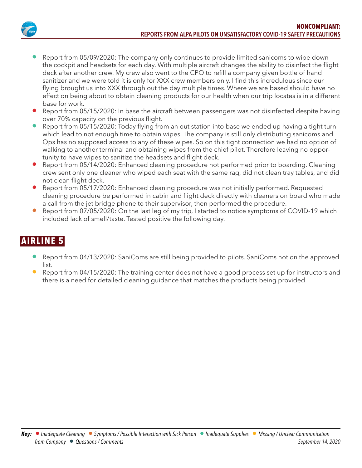

- Report from 05/09/2020: The company only continues to provide limited sanicoms to wipe down the cockpit and headsets for each day. With multiple aircraft changes the ability to disinfect the flight deck after another crew. My crew also went to the CPO to refill a company given bottle of hand sanitizer and we were told it is only for XXX crew members only. I find this incredulous since our flying brought us into XXX through out the day multiple times. Where we are based should have no effect on being about to obtain cleaning products for our health when our trip locates is in a different base for work.
- Report from 05/15/2020: In base the aircraft between passengers was not disinfected despite having over 70% capacity on the previous flight.
- Report from 05/15/2020: Today flying from an out station into base we ended up having a tight turn which lead to not enough time to obtain wipes. The company is still only distributing sanicoms and Ops has no supposed access to any of these wipes. So on this tight connection we had no option of walking to another terminal and obtaining wipes from the chief pilot. Therefore leaving no opportunity to have wipes to sanitize the headsets and flight deck.
- Report from 05/14/2020: Enhanced cleaning procedure not performed prior to boarding. Cleaning crew sent only one cleaner who wiped each seat with the same rag, did not clean tray tables, and did not clean flight deck.
- Report from 05/17/2020: Enhanced cleaning procedure was not initially performed. Requested cleaning procedure be performed in cabin and flight deck directly with cleaners on board who made a call from the jet bridge phone to their supervisor, then performed the procedure.
- Report from 07/05/2020: On the last leg of my trip, I started to notice symptoms of COVID-19 which included lack of smell/taste. Tested positive the following day.

- Report from 04/13/2020: SaniComs are still being provided to pilots. SaniComs not on the approved list.
- Report from 04/15/2020: The training center does not have a good process set up for instructors and there is a need for detailed cleaning guidance that matches the products being provided.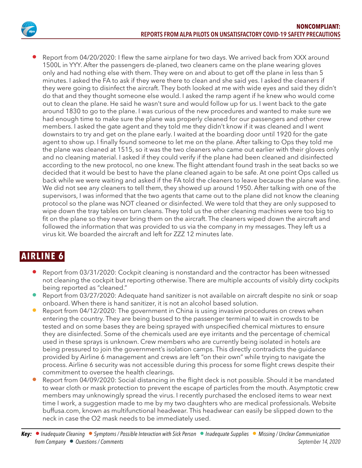

• Report from 04/20/2020: I flew the same airplane for two days. We arrived back from XXX around 1500L in YYY. After the passengers de-planed, two cleaners came on the plane wearing gloves only and had nothing else with them. They were on and about to get off the plane in less than 5 minutes. I asked the FA to ask if they were there to clean and she said yes. I asked the cleaners if they were going to disinfect the aircraft. They both looked at me with wide eyes and said they didn't do that and they thought someone else would. I asked the ramp agent if he knew who would come out to clean the plane. He said he wasn't sure and would follow up for us. I went back to the gate around 1830 to go to the plane. I was curious of the new procedures and wanted to make sure we had enough time to make sure the plane was properly cleaned for our passengers and other crew members. I asked the gate agent and they told me they didn't know if it was cleaned and I went downstairs to try and get on the plane early. I waited at the boarding door until 1920 for the gate agent to show up. I finally found someone to let me on the plane. After talking to Ops they told me the plane was cleaned at 1515, so it was the two cleaners who came out earlier with their gloves only and no cleaning material. I asked if they could verify if the plane had been cleaned and disinfected according to the new protocol, no one knew. The flight attendant found trash in the seat backs so we decided that it would be best to have the plane cleaned again to be safe. At one point Ops called us back while we were waiting and asked if the FA told the cleaners to leave because the plane was fine. We did not see any cleaners to tell them, they showed up around 1950. After talking with one of the supervisors, I was informed that the two agents that came out to the plane did not know the cleaning protocol so the plane was NOT cleaned or disinfected. We were told that they are only supposed to wipe down the tray tables on turn cleans. They told us the other cleaning machines were too big to fit on the plane so they never bring them on the aircraft. The cleaners wiped down the aircraft and followed the information that was provided to us via the company in my messages. They left us a virus kit. We boarded the aircraft and left for ZZZ 12 minutes late.

- Report from 03/31/2020: Cockpit cleaning is nonstandard and the contractor has been witnessed not cleaning the cockpit but reporting otherwise. There are multiple accounts of visibly dirty cockpits being reported as "cleaned."
- Report from 03/27/2020: Adequate hand sanitizer is not available on aircraft despite no sink or soap onboard. When there is hand sanitizer, it is not an alcohol based solution.
- Report from 04/12/2020: The government in China is using invasive procedures on crews when entering the country. They are being bussed to the passenger terminal to wait in crowds to be tested and on some bases they are being sprayed with unspecified chemical mixtures to ensure they are disinfected. Some of the chemicals used are eye irritants and the percentage of chemical used in these sprays is unknown. Crew members who are currently being isolated in hotels are being pressured to join the government's isolation camps. This directly contradicts the guidance provided by Airline 6 management and crews are left "on their own" while trying to navigate the process. Airline 6 security was not accessible during this process for some flight crews despite their commitment to oversee the health clearings.
- Report from 04/09/2020: Social distancing in the flight deck is not possible. Should it be mandated to wear cloth or mask protection to prevent the escape of particles from the mouth. Asymptotic crew members may unknowingly spread the virus. I recently purchased the enclosed items to wear next time I work, a suggestion made to me by my two daughters who are medical professionals. Website buffusa.com, known as multifunctional headwear. This headwear can easily be slipped down to the neck in case the O2 mask needs to be immediately used.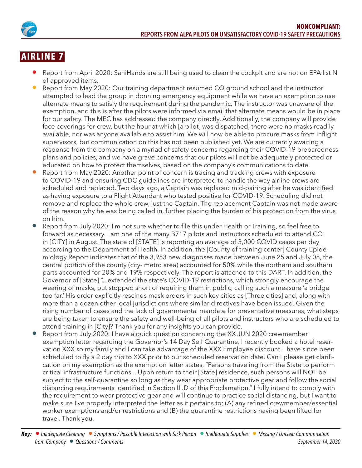

- Report from April 2020: SaniHands are still being used to clean the cockpit and are not on EPA list N of approved items.
- Report from May 2020: Our training department resumed CQ ground school and the instructor attempted to lead the group in donning emergency equipment while we have an exemption to use alternate means to satisfy the requirement during the pandemic. The instructor was unaware of the exemption, and this is after the pilots were informed via email that alternate means would be in place for our safety. The MEC has addressed the company directly. Additionally, the company will provide face coverings for crew, but the hour at which [a pilot] was dispatched, there were no masks readily available, nor was anyone available to assist him. We will now be able to procure masks from Inflight supervisors, but communication on this has not been published yet. We are currently awaiting a response from the company on a myriad of safety concerns regarding their COVID-19 preparedness plans and policies, and we have grave concerns that our pilots will not be adequately protected or educated on how to protect themselves, based on the company's communications to date.
- Report from May 2020: Another point of concern is tracing and tracking crews with exposure to COVID-19 and ensuring CDC guidelines are interpreted to handle the way airline crews are scheduled and replaced. Two days ago, a Captain was replaced mid-pairing after he was identified as having exposure to a Flight Attendant who tested positive for COVID-19. Scheduling did not remove and replace the whole crew, just the Captain. The replacement Captain was not made aware of the reason why he was being called in, further placing the burden of his protection from the virus on him.
- Report from July 2020: I'm not sure whether to file this under Health or Training, so feel free to forward as necessary. I am one of the many B717 pilots and instructors scheduled to attend CQ in [CITY] in August. The state of [STATE] is reporting an average of 3,000 COVID cases per day according to the Department of Health. In addition, the [County of training center] County Epidemiology Report indicates that of the 3,953 new diagnoses made between June 25 and July 08, the central portion of the county (city- metro area) accounted for 50% while the northern and southern parts accounted for 20% and 19% respectively. The report is attached to this DART. In addition, the Governor of [State] "...extended the state's COVID-19 restrictions, which strongly encourage the wearing of masks, but stopped short of requiring them in public, calling such a measure 'a bridge too far.' His order explicitly rescinds mask orders in such key cities as [Three cities] and, along with more than a dozen other local jurisdictions where similar directives have been issued. Given the rising number of cases and the lack of governmental mandate for preventative measures, what steps are being taken to ensure the safety and well-being of all pilots and instructors who are scheduled to attend training in [City]? Thank you for any insights you can provide.
- Report from July 2020: I have a quick question concerning the XX JUN 2020 crewmember exemption letter regarding the Governor's 14 Day Self Quarantine. I recently booked a hotel reservation XXX so my family and I can take advantage of the XXX Employee discount. I have since been scheduled to fly a 2 day trip to XXX prior to our scheduled reservation date. Can I please get clarification on my exemption as the exemption letter states, "Persons traveling from the State to perform critical infrastructure functions... Upon return to their [State] residence, such persons will NOT be subject to the self-quarantine so long as they wear appropriate protective gear and follow the social distancing requirements identified in Section III.D of this Proclamation." I fully intend to comply with the requirement to wear protective gear and will continue to practice social distancing, but I want to make sure I've properly interpreted the letter as it pertains to; (A) any refined crewmember/essential worker exemptions and/or restrictions and (B) the quarantine restrictions having been lifted for travel. Thank you.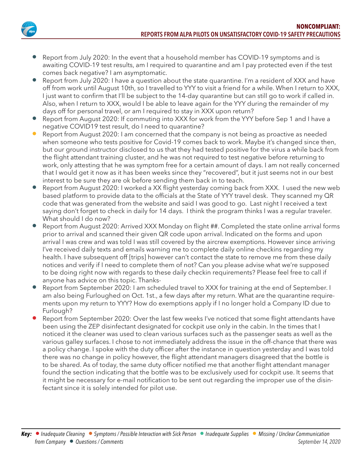

- Report from July 2020: In the event that a household member has COVID-19 symptoms and is awaiting COVID-19 test results, am I required to quarantine and am I pay protected even if the test comes back negative? I am asymptomatic.
- Report from July 2020: I have a question about the state quarantine. I'm a resident of XXX and have off from work until August 10th, so I travelled to YYY to visit a friend for a while. When I return to XXX, I just want to confirm that I'll be subject to the 14-day quarantine but can still go to work if called in. Also, when I return to XXX, would I be able to leave again for the YYY during the remainder of my days off for personal travel, or am I required to stay in XXX upon return?
- Report from August 2020: If commuting into XXX for work from the YYY before Sep 1 and I have a negative COVID19 test result, do I need to quarantine?
- Report from August 2020: I am concerned that the company is not being as proactive as needed when someone who tests positive for Covid-19 comes back to work. Maybe it's changed since then, but our ground instructor disclosed to us that they had tested positive for the virus a while back from the flight attendant training cluster, and he was not required to test negative before returning to work, only attesting that he was symptom free for a certain amount of days. I am not really concerned that I would get it now as it has been weeks since they "recovered", but it just seems not in our best interest to be sure they are ok before sending them back in to teach.
- Report from August 2020: I worked a XX flight yesterday coming back from XXX. I used the new web based platform to provide data to the officials at the State of YYY travel desk. They scanned my QR code that was generated from the website and said I was good to go. Last night I received a text saying don't forget to check in daily for 14 days. I think the program thinks I was a regular traveler. What should I do now?
- Report from August 2020: Arrived XXX Monday on flight ##. Completed the state online arrival forms prior to arrival and scanned their given QR code upon arrival. Indicated on the forms and upon arrival I was crew and was told I was still covered by the aircrew exemptions. However since arriving I've received daily texts and emails warning me to complete daily online checkins regarding my health. I have subsequent off [trips] however can't contact the state to remove me from these daily notices and verify if I need to complete them of not? Can you please advise what we're supposed to be doing right now with regards to these daily checkin requirements? Please feel free to call if anyone has advice on this topic. Thanks-
- Report from September 2020: I am scheduled travel to XXX for training at the end of September. I am also being Furloughed on Oct. 1st., a few days after my return. What are the quarantine requirements upon my return to YYY? How do exemptions apply if I no longer hold a Company ID due to Furlough?
- Report from September 2020: Over the last few weeks I've noticed that some flight attendants have been using the ZEP disinfectant designated for cockpit use only in the cabin. In the times that I noticed it the cleaner was used to clean various surfaces such as the passenger seats as well as the various galley surfaces. I chose to not immediately address the issue in the off-chance that there was a policy change. I spoke with the duty officer after the instance in question yesterday and I was told there was no change in policy however, the flight attendant managers disagreed that the bottle is to be shared. As of today, the same duty officer notified me that another flight attendant manager found the section indicating that the bottle was to be exclusively used for cockpit use. It seems that it might be necessary for e-mail notification to be sent out regarding the improper use of the disinfectant since it is solely intended for pilot use.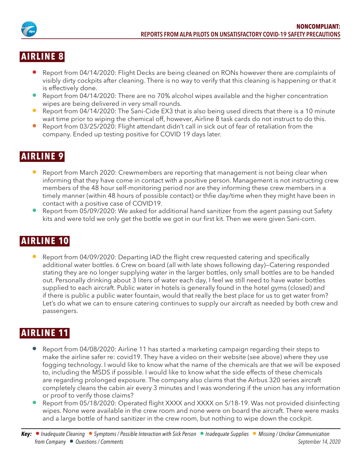

- Report from 04/14/2020: Flight Decks are being cleaned on RONs however there are complaints of visibly dirty cockpits after cleaning. There is no way to verify that this cleaning is happening or that it is effectively done.
- Report from 04/14/2020: There are no 70% alcohol wipes available and the higher concentration wipes are being delivered in very small rounds.
- Report from 04/14/2020: The Sani-Cide EX3 that is also being used directs that there is a 10 minute wait time prior to wiping the chemical off, however, Airline 8 task cards do not instruct to do this.
- Report from 03/25/2020: Flight attendant didn't call in sick out of fear of retaliation from the company. Ended up testing positive for COVID 19 days later.

### **AIRLINE 9**

- Report from March 2020: Crewmembers are reporting that management is not being clear when informing that they have come in contact with a positive person. Management is not instructing crew members of the 48 hour self-monitoring period nor are they informing these crew members in a timely manner (within 48 hours of possible contact) or thfie day/time when they might have been in contact with a positive case of COVID19.
- Report from 05/09/2020: We asked for additional hand sanitizer from the agent passing out Safety kits and were told we only get the bottle we got in our first kit. Then we were given Sani-com.

### **AIRLINE 10**

• Report from 04/09/2020: Departing IAD the flight crew requested catering and specifically additional water bottles. 6 Crew on board (all with late shows following day)—Catering responded stating they are no longer supplying water in the larger bottles, only small bottles are to be handed out. Personally drinking about 3 liters of water each day, I feel we still need to have water bottles supplied to each aircraft. Public water in hotels is generally found in the hotel gyms (closed) and if there is public a public water fountain, would that really the best place for us to get water from? Let's do what we can to ensure catering continues to supply our aircraft as needed by both crew and passengers.

- Report from 04/08/2020: Airline 11 has started a marketing campaign regarding their steps to make the airline safer re: covid19. They have a video on their website (see above) where they use fogging technology. I would like to know what the name of the chemicals are that we will be exposed to, including the MSDS if possible. I would like to know what the side effects of these chemicals are regarding prolonged exposure. The company also claims that the Airbus 320 series aircraft completely cleans the cabin air every 3 minutes and I was wondering if the union has any information or proof to verify those claims?
- Report from 05/18/2020: Operated flight XXXX and XXXX on 5/18-19. Was not provided disinfecting wipes. None were available in the crew room and none were on board the aircraft. There were masks and a large bottle of hand sanitizer in the crew room, but nothing to wipe down the cockpit.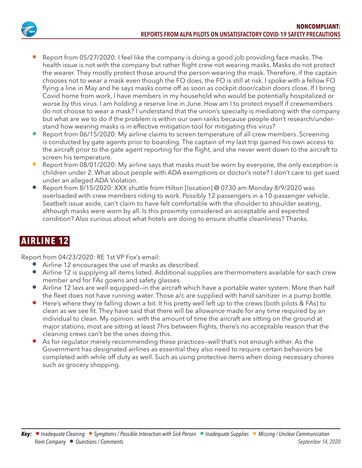

- Report from 05/27/2020: I feel like the company is doing a good job providing face masks. The health issue is not with the company but rather flight crew not wearing masks. Masks do not protect the wearer. They mostly protect those around the person wearing the mask. Therefore, if the captain chooses not to wear a mask even though the FO does, the FO is still at risk. I spoke with a fellow FO flying a line in May and he says masks come off as soon as cockpit door/cabin doors close. If I bring Covid home from work, I have members in my household who would be potentially hospitalized or worse by this virus. I am holding a reserve line in June. How am I to protect myself if crewmembers do not choose to wear a mask? I understand that the union's specialty is mediating with the company but what are we to do if the problem is within our own ranks because people don't research/understand how wearing masks is in effective mitigation tool for mitigating this virus?
- Report from 06/15/2020: My airline claims to screen temperature of all crew members. Screening is conducted by gate agents prior to boarding. The captain of my last trip gained his own access to the aircraft prior to the gate agent reporting for the flight, and she never went down to the aircraft to screen his temperature.
- Report from 08/01/2020: My airline says that masks must be worn by everyone, the only exception is children under 2. What about people with ADA exemptions or doctor's note? I don't care to get sued under an alleged ADA Violation.
- Report from 8/15/2020: XXX shuttle from Hilton [location] @ 0730 am Monday 8/9/2020 was overloaded with crew members riding to work. Possibly 12 passengers in a 10-passenger vehicle. Seatbelt issue aside, can't claim to have felt comfortable with the shoulder to shoulder seating, although masks were worn by all. Is this proximity considered an acceptable and expected condition? Also curious about what hotels are doing to ensure shuttle cleanliness? Thanks.

Report from 04/23/2020: RE 1st VP Fox's email:

- Airline 12 encourages the use of masks as described.
- Airline 12 is supplying all items listed. Additional supplies are thermometers available for each crew member and for FAs gowns and safety glasses.
- Airline 12 lavs are well equipped—in the aircraft which have a portable water system. More than half the fleet does not have running water. Those a/c are supplied with hand sanitizer in a pump bottle.
- Here's where they're falling down a bit. It his pretty well left up to the crews (both pilots & FAs) to clean as we see fit. They have said that there will be allowance made for any time required by an individual to clean. My opinion: with the amount of time the aircraft are sitting on the ground at major stations, most are sitting at least 7hrs between flights, there's no acceptable reason that the cleaning crews can't be the ones doing this.
- As for regulator merely recommending these practices-well that's not enough either. As the Government has designated airlines as essential they also need to require certain behaviors be completed with while off duty as well. Such as using protective items when doing necessary chores such as grocery shopping.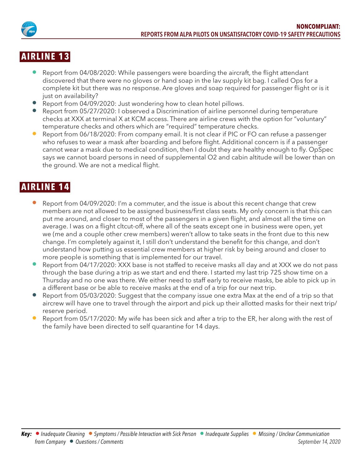

- Report from 04/08/2020: While passengers were boarding the aircraft, the flight attendant discovered that there were no gloves or hand soap in the lav supply kit bag. I called Ops for a complete kit but there was no response. Are gloves and soap required for passenger flight or is it just on availability?
- Report from 04/09/2020: Just wondering how to clean hotel pillows.
- Report from 05/27/2020: I observed a Discrimination of airline personnel during temperature checks at XXX at terminal X at KCM access. There are airline crews with the option for "voluntary" temperature checks and others which are "required" temperature checks.
- Report from 06/18/2020: From company email. It is not clear if PIC or FO can refuse a passenger who refuses to wear a mask after boarding and before flight. Additional concern is if a passenger cannot wear a mask due to medical condition, then I doubt they are healthy enough to fly. OpSpec says we cannot board persons in need of supplemental O2 and cabin altitude will be lower than on the ground. We are not a medical flight.

- Report from 04/09/2020: I'm a commuter, and the issue is about this recent change that crew members are not allowed to be assigned business/first class seats. My only concern is that this can put me around, and closer to most of the passengers in a given flight, and almost all the time on average. I was on a flight cltcut-off, where all of the seats except one in business were open, yet we (me and a couple other crew members) weren't allow to take seats in the front due to this new change. I'm completely against it, I still don't understand the benefit for this change, and don't understand how putting us essential crew members at higher risk by being around and closer to more people is something that is implemented for our travel.
- Report from 04/17/2020: XXX base is not staffed to receive masks all day and at XXX we do not pass through the base during a trip as we start and end there. I started my last trip 725 show time on a Thursday and no one was there. We either need to staff early to receive masks, be able to pick up in a different base or be able to receive masks at the end of a trip for our next trip.
- Report from 05/03/2020: Suggest that the company issue one extra Max at the end of a trip so that aircrew will have one to travel through the airport and pick up their allotted masks for their next trip/ reserve period.
- Report from 05/17/2020: My wife has been sick and after a trip to the ER, her along with the rest of the family have been directed to self quarantine for 14 days.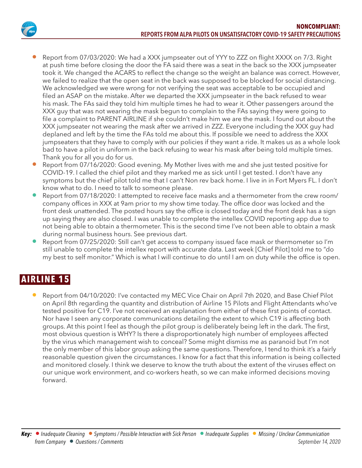

- Report from 07/03/2020: We had a XXX jumpseater out of YYY to ZZZ on flight XXXX on 7/3. Right at push time before closing the door the FA said there was a seat in the back so the XXX jumpseater took it. We changed the ACARS to reflect the change so the weight an balance was correct. However, we failed to realize that the open seat in the back was supposed to be blocked for social distancing. We acknowledged we were wrong for not verifying the seat was acceptable to be occupied and filed an ASAP on the mistake. After we departed the XXX jumpseater in the back refused to wear his mask. The FAs said they told him multiple times he had to wear it. Other passengers around the XXX guy that was not wearing the mask begun to complain to the FAs saying they were going to file a complaint to PARENT AIRLINE if she couldn't make him we are the mask. I found out about the XXX jumpseater not wearing the mask after we arrived in ZZZ. Everyone including the XXX guy had deplaned and left by the time the FAs told me about this. If possible we need to address the XXX jumpseaters that they have to comply with our policies if they want a ride. It makes us as a whole look bad to have a pilot in uniform in the back refusing to wear his mask after being told multiple times. Thank you for all you do for us.
- Report from 07/16/2020: Good evening. My Mother lives with me and she just tested positive for COVID-19. I called the chief pilot and they marked me as sick until I get tested. I don't have any symptoms but the chief pilot told me that I can't Non rev back home. I live in in Fort Myers FL. I don't know what to do. I need to talk to someone please.
- Report from 07/18/2020: I attempted to receive face masks and a thermometer from the crew room/ company offices in XXX at 9am prior to my show time today. The office door was locked and the front desk unattended. The posted hours say the office is closed today and the front desk has a sign up saying they are also closed. I was unable to complete the intellex COVID reporting app due to not being able to obtain a thermometer. This is the second time I've not been able to obtain a mask during normal business hours. See previous dart.
- Report from 07/25/2020: Still can't get access to company issued face mask or thermometer so I'm still unable to complete the intellex report with accurate data. Last week [Chief Pilot] told me to "do my best to self monitor." Which is what I will continue to do until I am on duty while the office is open.

• Report from 04/10/2020: I've contacted my MEC Vice Chair on April 7th 2020, and Base Chief Pilot on April 8th regarding the quantity and distribution of Airline 15 Pilots and Flight Attendants who've tested positive for C19. I've not received an explanation from either of these first points of contact. Nor have I seen any corporate communications detailing the extent to which C19 is affecting both groups. At this point I feel as though the pilot group is deliberately being left in the dark. The first, most obvious question is WHY? Is there a disproportionately high number of employees affected by the virus which management wish to conceal? Some might dismiss me as paranoid but I'm not the only member of this labor group asking the same questions. Therefore, I tend to think it's a fairly reasonable question given the circumstances. I know for a fact that this information is being collected and monitored closely. I think we deserve to know the truth about the extent of the viruses effect on our unique work environment, and co-workers heath, so we can make informed decisions moving forward.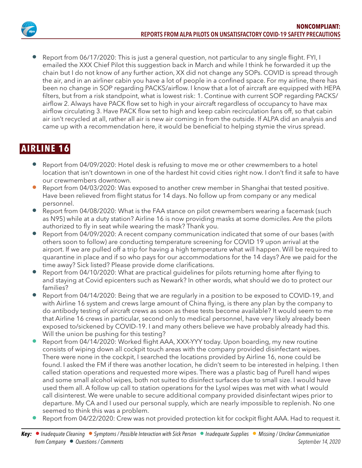

• Report from 06/17/2020: This is just a general question, not particular to any single flight. FYI, I emailed the XXX Chief Pilot this suggestion back in March and while I think he forwarded it up the chain but I do not know of any further action, XX did not change any SOPs. COVID is spread through the air, and in an airliner cabin you have a lot of people in a confined space. For my airline, there has been no change in SOP regarding PACKS/airflow. I know that a lot of aircraft are equipped with HEPA filters, but from a risk standpoint, what is lowest risk: 1. Continue with current SOP regarding PACKS/ airflow 2. Always have PACK flow set to high in your aircraft regardless of occupancy to have max airflow circulating 3. Have PACK flow set to high and keep cabin recirculation fans off, so that cabin air isn't recycled at all, rather all air is new air coming in from the outside. If ALPA did an analysis and came up with a recommendation here, it would be beneficial to helping stymie the virus spread.

- Report from 04/09/2020: Hotel desk is refusing to move me or other crewmembers to a hotel location that isn't downtown in one of the hardest hit covid cities right now. I don't find it safe to have our crewmembers downtown.
- Report from 04/03/2020: Was exposed to another crew member in Shanghai that tested positive. Have been relieved from flight status for 14 days. No follow up from company or any medical personnel.
- Report from 04/08/2020: What is the FAA stance on pilot crewmembers wearing a facemask (such as N95) while at a duty station? Airline 16 is now providing masks at some domiciles. Are the pilots authorized to fly in seat while wearing the mask? Thank you.
- Report from 04/09/2020: A recent company communication indicated that some of our bases (with others soon to follow) are conducting temperature screening for COVID 19 upon arrival at the airport. If we are pulled off a trip for having a high temperature what will happen. Will be required to quarantine in place and if so who pays for our accommodations for the 14 days? Are we paid for the time away? Sick listed? Please provide dome clarifications.
- Report from 04/10/2020: What are practical guidelines for pilots returning home after flying to and staying at Covid epicenters such as Newark? In other words, what should we do to protect our families?
- Report from 04/14/2020: Being that we are regularly in a position to be exposed to COVID-19, and with Airline 16 system and crews large amount of China flying, is there any plan by the company to do antibody testing of aircraft crews as soon as these tests become available? It would seem to me that Airline 16 crews in particular, second only to medical personnel, have very likely already been exposed to/sickened by COVID-19. I and many others believe we have probably already had this. Will the union be pushing for this testing?
- Report from 04/14/2020: Worked flight AAA, XXX-YYY today. Upon boarding, my new routine consists of wiping down all cockpit touch areas with the company provided disinfectant wipes. There were none in the cockpit, I searched the locations provided by Airline 16, none could be found. I asked the FM if there was another location, he didn't seem to be interested in helping. I then called station operations and requested more wipes. There was a plastic bag of Purell hand wipes and some small alcohol wipes, both not suited to disinfect surfaces due to small size. I would have used them all. A follow up call to station operations for the Lysol wipes was met with what I would call disinterest. We were unable to secure additional company provided disinfectant wipes prior to departure. My CA and I used our personal supply, which are nearly impossible to replenish. No one seemed to think this was a problem.
- Report from 04/22/2020: Crew was not provided protection kit for cockpit flight AAA. Had to request it.